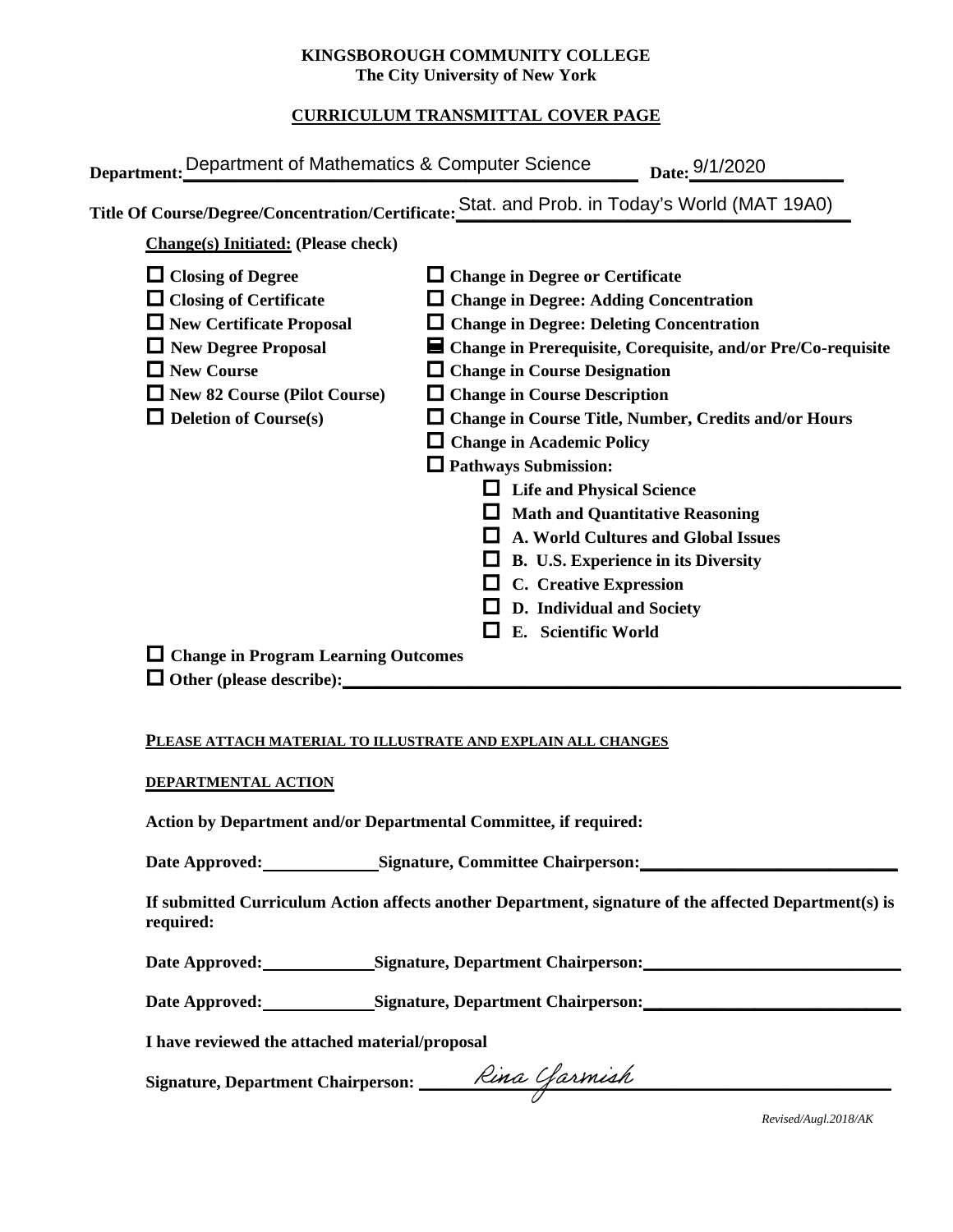### **KINGSBOROUGH COMMUNITY COLLEGE The City University of New York**

# **CURRICULUM TRANSMITTAL COVER PAGE**

| <b>Change(s)</b> Initiated: (Please check)                                                                                                                                                                                                                                                              | Title Of Course/Degree/Concentration/Certificate: Stat. and Prob. in Today's World (MAT 19A0)                                                                                                                                                                                                                                                                                                                                                                                                                                                                                                                                                                                   |
|---------------------------------------------------------------------------------------------------------------------------------------------------------------------------------------------------------------------------------------------------------------------------------------------------------|---------------------------------------------------------------------------------------------------------------------------------------------------------------------------------------------------------------------------------------------------------------------------------------------------------------------------------------------------------------------------------------------------------------------------------------------------------------------------------------------------------------------------------------------------------------------------------------------------------------------------------------------------------------------------------|
| $\Box$ Closing of Degree<br>$\Box$ Closing of Certificate<br>$\Box$ New Certificate Proposal<br>$\Box$ New Degree Proposal<br>$\Box$ New Course<br>$\Box$ New 82 Course (Pilot Course)<br>$\Box$ Deletion of Course(s)<br>$\Box$ Change in Program Learning Outcomes<br>$\Box$ Other (please describe): | $\Box$ Change in Degree or Certificate<br>$\Box$ Change in Degree: Adding Concentration<br>$\Box$ Change in Degree: Deleting Concentration<br>■ Change in Prerequisite, Corequisite, and/or Pre/Co-requisite<br>$\Box$ Change in Course Designation<br>$\Box$ Change in Course Description<br>$\Box$ Change in Course Title, Number, Credits and/or Hours<br>$\Box$ Change in Academic Policy<br><b>Q</b> Pathways Submission:<br><b>Life and Physical Science</b><br><b>Math and Quantitative Reasoning</b><br>A. World Cultures and Global Issues<br>B. U.S. Experience in its Diversity<br><b>C.</b> Creative Expression<br>D. Individual and Society<br>E. Scientific World |

### **PLEASE ATTACH MATERIAL TO ILLUSTRATE AND EXPLAIN ALL CHANGES**

#### **DEPARTMENTAL ACTION**

**Action by Department and/or Departmental Committee, if required:**

Date Approved: Signature, Committee Chairperson: National Approved: National Approved: National Approved: National Approved: National Approved: National Approved: National Approved: National Approved: National Approved: Na

**If submitted Curriculum Action affects another Department, signature of the affected Department(s) is required:**

Date Approved: Signature, Department Chairperson:

Date Approved: Signature, Department Chairperson: Network and Solven and Solven and Solven and Solven and Solven and Solven and Solven and Solven and Solven and Solven and Solven and Solven and Solven and Solven and Solven

**I have reviewed the attached material/proposal**

**Signature, Department Chairperson: \_\_\_\_\_\_\_\_\_\_\_\_\_\_\_\_\_\_\_\_\_\_\_\_\_\_\_\_\_\_\_\_\_\_\_\_\_\_\_\_\_\_\_\_\_\_\_\_\_\_\_\_\_\_\_**

*Revised/Augl.2018/AK*